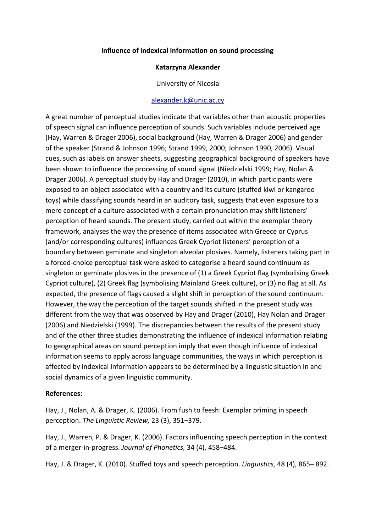## **Influence of indexical information on sound processing**

## **Katarzyna Alexander**

University of Nicosia

## [alexander.k@unic.ac.cy](mailto:alexander.k@unic.ac.cy)

A great number of perceptual studies indicate that variables other than acoustic properties of speech signal can influence perception of sounds. Such variables include perceived age (Hay, Warren & Drager 2006), social background (Hay, Warren & Drager 2006) and gender of the speaker (Strand & Johnson 1996; Strand 1999, 2000; Johnson 1990, 2006). Visual cues, such as labels on answer sheets, suggesting geographical background of speakers have been shown to influence the processing of sound signal (Niedzielski 1999; Hay, Nolan & Drager 2006). A perceptual study by Hay and Drager (2010), in which participants were exposed to an object associated with a country and its culture (stuffed kiwi or kangaroo toys) while classifying sounds heard in an auditory task, suggests that even exposure to a mere concept of a culture associated with a certain pronunciation may shift listeners' perception of heard sounds. The present study, carried out within the exemplar theory framework, analyses the way the presence of items associated with Greece or Cyprus (and/or corresponding cultures) influences Greek Cypriot listeners' perception of a boundary between geminate and singleton alveolar plosives. Namely, listeners taking part in a forced-choice perceptual task were asked to categorise a heard sound continuum as singleton or geminate plosives in the presence of (1) a Greek Cypriot flag (symbolising Greek Cypriot culture), (2) Greek flag (symbolising Mainland Greek culture), or (3) no flag at all. As expected, the presence of flags caused a slight shift in perception of the sound continuum. However, the way the perception of the target sounds shifted in the present study was different from the way that was observed by Hay and Drager (2010), Hay Nolan and Drager (2006) and Niedzielski (1999). The discrepancies between the results of the present study and of the other three studies demonstrating the influence of indexical information relating to geographical areas on sound perception imply that even though influence of indexical information seems to apply across language communities, the ways in which perception is affected by indexical information appears to be determined by a linguistic situation in and social dynamics of a given linguistic community.

## **References:**

Hay, J., Nolan, A. & Drager, K. (2006). From fush to feesh: Exemplar priming in speech perception. *The Linguistic Review,* 23 (3), 351–379.

Hay, J., Warren, P. & Drager, K. (2006). Factors influencing speech perception in the context of a merger-in-progress. Journal of Phonetics, 34 (4), 458–484.

Hay, J. & Drager, K. (2010). Stuffed toys and speech perception. *Linguistics,* 48 (4), 865– 892.